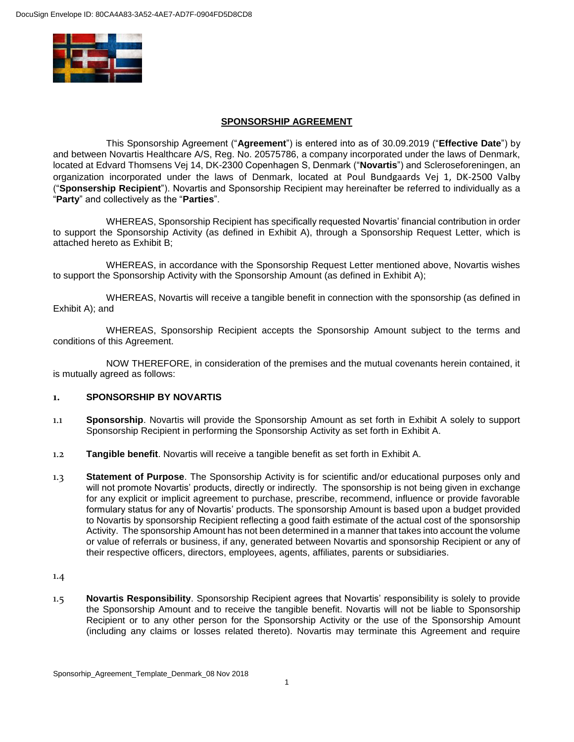

#### **SPONSORSHIP AGREEMENT**

This Sponsorship Agreement ("**Agreement**") is entered into as of 30.09.2019 ("**Effective Date**") by and between Novartis Healthcare A/S, Reg. No. 20575786, a company incorporated under the laws of Denmark, located at Edvard Thomsens Vej 14, DK-2300 Copenhagen S, Denmark ("**Novartis**") and Scleroseforeningen, an organization incorporated under the laws of Denmark, located at Poul Bundgaards Vej 1, DK-2500 Valby ("**Sponsership Recipient**"). Novartis and Sponsorship Recipient may hereinafter be referred to individually as a "**Party**" and collectively as the "**Parties**".

WHEREAS, Sponsorship Recipient has specifically requested Novartis' financial contribution in order to support the Sponsorship Activity (as defined in Exhibit A), through a Sponsorship Request Letter, which is attached hereto as Exhibit B;

WHEREAS, in accordance with the Sponsorship Request Letter mentioned above, Novartis wishes to support the Sponsorship Activity with the Sponsorship Amount (as defined in Exhibit A);

WHEREAS, Novartis will receive a tangible benefit in connection with the sponsorship (as defined in Exhibit A); and

WHEREAS, Sponsorship Recipient accepts the Sponsorship Amount subject to the terms and conditions of this Agreement.

NOW THEREFORE, in consideration of the premises and the mutual covenants herein contained, it is mutually agreed as follows:

#### **1. SPONSORSHIP BY NOVARTIS**

- 1.1 **Sponsorship**. Novartis will provide the Sponsorship Amount as set forth in Exhibit A solely to support Sponsorship Recipient in performing the Sponsorship Activity as set forth in Exhibit A.
- 1.2 **Tangible benefit**. Novartis will receive a tangible benefit as set forth in Exhibit A.
- 1.3 **Statement of Purpose**. The Sponsorship Activity is for scientific and/or educational purposes only and will not promote Novartis' products, directly or indirectly. The sponsorship is not being given in exchange for any explicit or implicit agreement to purchase, prescribe, recommend, influence or provide favorable formulary status for any of Novartis' products. The sponsorship Amount is based upon a budget provided to Novartis by sponsorship Recipient reflecting a good faith estimate of the actual cost of the sponsorship Activity. The sponsorship Amount has not been determined in a manner that takes into account the volume or value of referrals or business, if any, generated between Novartis and sponsorship Recipient or any of their respective officers, directors, employees, agents, affiliates, parents or subsidiaries.

1.4

1.5 **Novartis Responsibility**. Sponsorship Recipient agrees that Novartis' responsibility is solely to provide the Sponsorship Amount and to receive the tangible benefit. Novartis will not be liable to Sponsorship Recipient or to any other person for the Sponsorship Activity or the use of the Sponsorship Amount (including any claims or losses related thereto). Novartis may terminate this Agreement and require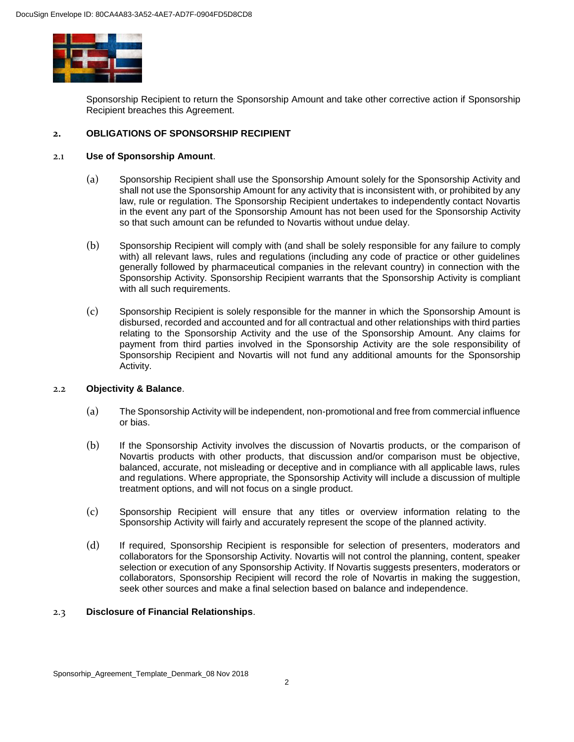

Sponsorship Recipient to return the Sponsorship Amount and take other corrective action if Sponsorship Recipient breaches this Agreement.

### **2. OBLIGATIONS OF SPONSORSHIP RECIPIENT**

#### 2.1 **Use of Sponsorship Amount**.

- (a) Sponsorship Recipient shall use the Sponsorship Amount solely for the Sponsorship Activity and shall not use the Sponsorship Amount for any activity that is inconsistent with, or prohibited by any law, rule or regulation. The Sponsorship Recipient undertakes to independently contact Novartis in the event any part of the Sponsorship Amount has not been used for the Sponsorship Activity so that such amount can be refunded to Novartis without undue delay.
- (b) Sponsorship Recipient will comply with (and shall be solely responsible for any failure to comply with) all relevant laws, rules and regulations (including any code of practice or other guidelines generally followed by pharmaceutical companies in the relevant country) in connection with the Sponsorship Activity. Sponsorship Recipient warrants that the Sponsorship Activity is compliant with all such requirements.
- (c) Sponsorship Recipient is solely responsible for the manner in which the Sponsorship Amount is disbursed, recorded and accounted and for all contractual and other relationships with third parties relating to the Sponsorship Activity and the use of the Sponsorship Amount. Any claims for payment from third parties involved in the Sponsorship Activity are the sole responsibility of Sponsorship Recipient and Novartis will not fund any additional amounts for the Sponsorship Activity.

#### 2.2 **Objectivity & Balance**.

- (a) The Sponsorship Activity will be independent, non-promotional and free from commercial influence or bias.
- (b) If the Sponsorship Activity involves the discussion of Novartis products, or the comparison of Novartis products with other products, that discussion and/or comparison must be objective, balanced, accurate, not misleading or deceptive and in compliance with all applicable laws, rules and regulations. Where appropriate, the Sponsorship Activity will include a discussion of multiple treatment options, and will not focus on a single product.
- (c) Sponsorship Recipient will ensure that any titles or overview information relating to the Sponsorship Activity will fairly and accurately represent the scope of the planned activity.
- (d) If required, Sponsorship Recipient is responsible for selection of presenters, moderators and collaborators for the Sponsorship Activity. Novartis will not control the planning, content, speaker selection or execution of any Sponsorship Activity. If Novartis suggests presenters, moderators or collaborators, Sponsorship Recipient will record the role of Novartis in making the suggestion, seek other sources and make a final selection based on balance and independence.

#### 2.3 **Disclosure of Financial Relationships**.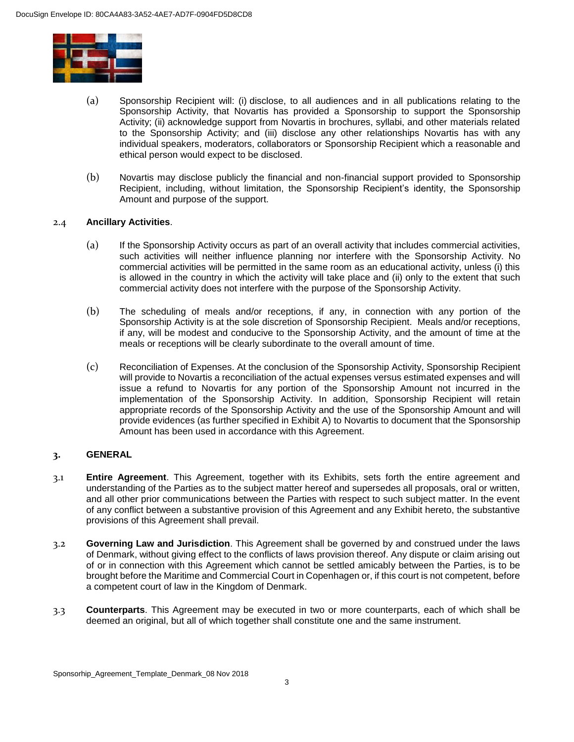

- (a) Sponsorship Recipient will: (i) disclose, to all audiences and in all publications relating to the Sponsorship Activity, that Novartis has provided a Sponsorship to support the Sponsorship Activity; (ii) acknowledge support from Novartis in brochures, syllabi, and other materials related to the Sponsorship Activity; and (iii) disclose any other relationships Novartis has with any individual speakers, moderators, collaborators or Sponsorship Recipient which a reasonable and ethical person would expect to be disclosed.
- (b) Novartis may disclose publicly the financial and non-financial support provided to Sponsorship Recipient, including, without limitation, the Sponsorship Recipient's identity, the Sponsorship Amount and purpose of the support.

# 2.4 **Ancillary Activities**.

- (a) If the Sponsorship Activity occurs as part of an overall activity that includes commercial activities, such activities will neither influence planning nor interfere with the Sponsorship Activity. No commercial activities will be permitted in the same room as an educational activity, unless (i) this is allowed in the country in which the activity will take place and (ii) only to the extent that such commercial activity does not interfere with the purpose of the Sponsorship Activity.
- (b) The scheduling of meals and/or receptions, if any, in connection with any portion of the Sponsorship Activity is at the sole discretion of Sponsorship Recipient. Meals and/or receptions, if any, will be modest and conducive to the Sponsorship Activity, and the amount of time at the meals or receptions will be clearly subordinate to the overall amount of time.
- (c) Reconciliation of Expenses. At the conclusion of the Sponsorship Activity, Sponsorship Recipient will provide to Novartis a reconciliation of the actual expenses versus estimated expenses and will issue a refund to Novartis for any portion of the Sponsorship Amount not incurred in the implementation of the Sponsorship Activity. In addition, Sponsorship Recipient will retain appropriate records of the Sponsorship Activity and the use of the Sponsorship Amount and will provide evidences (as further specified in Exhibit A) to Novartis to document that the Sponsorship Amount has been used in accordance with this Agreement.

#### **3. GENERAL**

- 3.1 **Entire Agreement**. This Agreement, together with its Exhibits, sets forth the entire agreement and understanding of the Parties as to the subject matter hereof and supersedes all proposals, oral or written, and all other prior communications between the Parties with respect to such subject matter. In the event of any conflict between a substantive provision of this Agreement and any Exhibit hereto, the substantive provisions of this Agreement shall prevail.
- 3.2 **Governing Law and Jurisdiction**. This Agreement shall be governed by and construed under the laws of Denmark, without giving effect to the conflicts of laws provision thereof. Any dispute or claim arising out of or in connection with this Agreement which cannot be settled amicably between the Parties, is to be brought before the Maritime and Commercial Court in Copenhagen or, if this court is not competent, before a competent court of law in the Kingdom of Denmark.
- 3.3 **Counterparts**. This Agreement may be executed in two or more counterparts, each of which shall be deemed an original, but all of which together shall constitute one and the same instrument.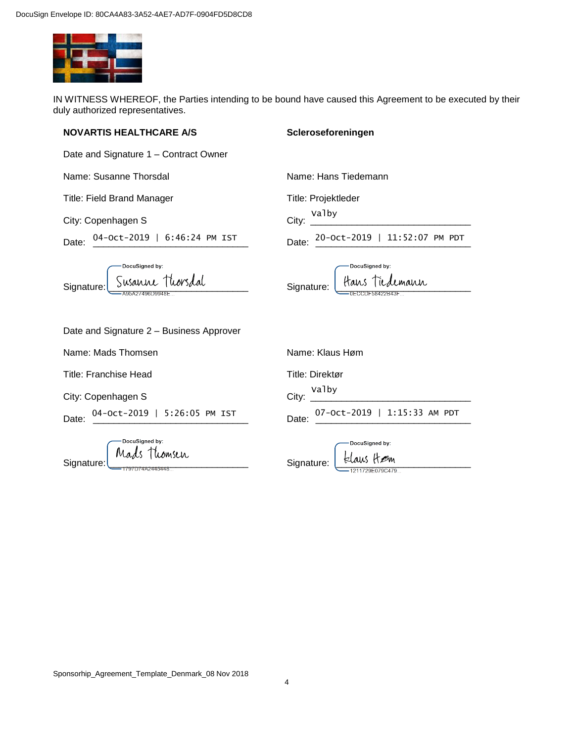

IN WITNESS WHEREOF, the Parties intending to be bound have caused this Agreement to be executed by their duly authorized representatives.

### **NOVARTIS HEALTHCARE A/S**

**Scleroseforeningen**

| Date and Signature 1 - Contract Owner |  |
|---------------------------------------|--|
|---------------------------------------|--|

Name: Susanne Thorsdal

Title: Field Brand Manager

City: Copenhagen S

| Date: | 04-Oct-2019   6:46:24 PM IST |  |  |  |
|-------|------------------------------|--|--|--|
|       |                              |  |  |  |

Name: Hans Tiedemann

Title: Projektleder

City: \_\_\_\_\_\_\_\_\_\_\_\_\_\_\_\_\_\_\_\_\_\_\_\_\_\_\_\_\_\_\_ Valby

Date: \_\_\_\_\_\_\_\_\_\_\_\_\_\_\_\_\_\_\_\_\_\_\_\_\_\_\_\_\_\_ 04-Oct-2019 | 6:46:24 PM IST 20-Oct-2019 | 11:52:07 PM PDT

| -DocuSigned by:             |
|-----------------------------|
| Signature: Susanne Thorsdal |
| A95A27496D9948E             |

DocuSigned by: Signature: Hans Tiedemann

| Date and Signature 2 - Business Approver |  |
|------------------------------------------|--|
|------------------------------------------|--|

Name: Mads Thomsen

Title: Franchise Head

City: Copenhagen S

Date: \_\_\_\_\_\_\_\_\_\_\_\_\_\_\_\_\_\_\_\_\_\_\_\_\_\_\_\_\_\_ 04-Oct-2019 | 5:26:05 PM IST

|            | DocuSigned by:<br>Mads Thomsen |
|------------|--------------------------------|
| Signature: | 7D74A2445448                   |

|                                                                                         | Name: Klaus Høm                    |  |  |
|-----------------------------------------------------------------------------------------|------------------------------------|--|--|
|                                                                                         | Title: Direktør                    |  |  |
|                                                                                         | $City:$ Valby                      |  |  |
|                                                                                         | Date: 07-Oct-2019   1:15:33 AM PDT |  |  |
| DocuSigned by:<br>$\frac{1}{1}$ $\frac{1}{1}$ $\frac{1}{1}$ $\frac{1}{1}$ $\frac{1}{1}$ |                                    |  |  |

Signature:  $\underbrace{\downarrow}$  Elaus  $\overline{\mathcal{H}}$   $\mathcal{B}$ m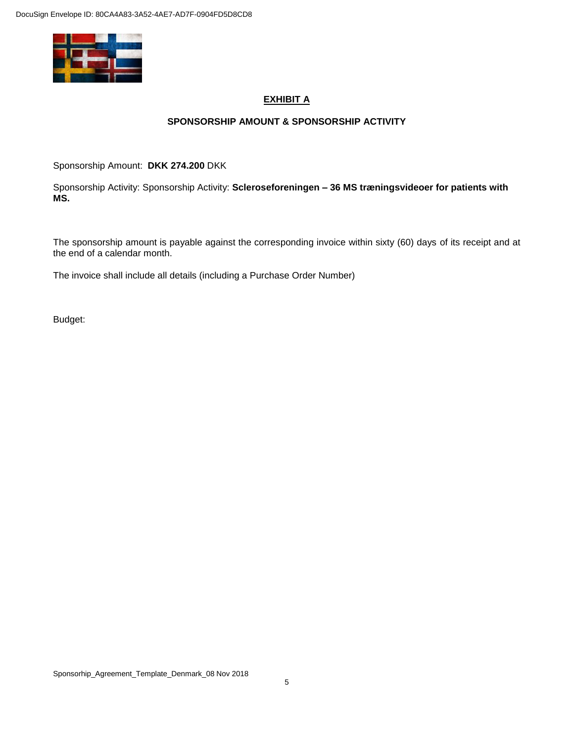

# **EXHIBIT A**

# **SPONSORSHIP AMOUNT & SPONSORSHIP ACTIVITY**

Sponsorship Amount: **DKK 274.200** DKK

Sponsorship Activity: Sponsorship Activity: **Scleroseforeningen – 36 MS træningsvideoer for patients with MS.**

The sponsorship amount is payable against the corresponding invoice within sixty (60) days of its receipt and at the end of a calendar month.

The invoice shall include all details (including a Purchase Order Number)

Budget: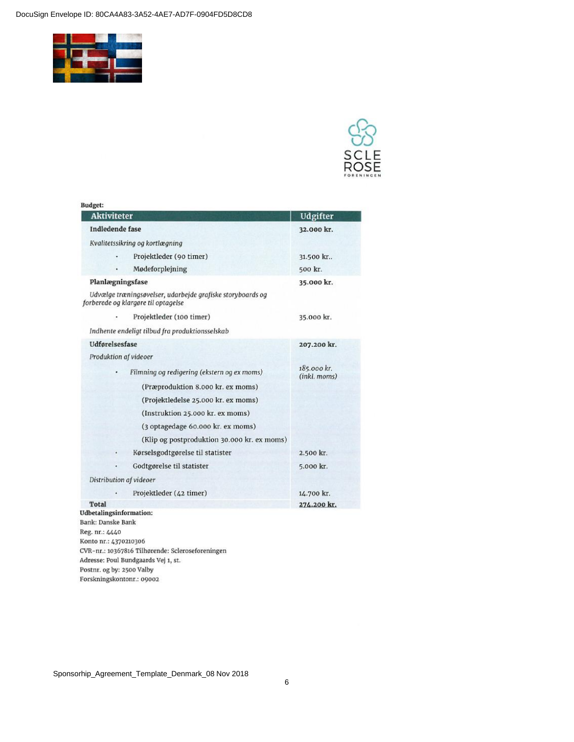DocuSign Envelope ID: 80CA4A83-3A52-4AE7-AD7F-0904FD5D8CD8



| Budget:                                                                                           |                             |
|---------------------------------------------------------------------------------------------------|-----------------------------|
| <b>Aktiviteter</b>                                                                                | Udgifter                    |
| Indledende fase                                                                                   | 32.000 kr.                  |
| Kvalitetssikring og kortlægning                                                                   |                             |
| Projektleder (90 timer)                                                                           | 31.500 kr.                  |
| Mødeforplejning                                                                                   | 500 kr.                     |
| Planlægningsfase                                                                                  | 35.000 kr.                  |
| Udvælge træningsøvelser, udarbejde grafiske storyboards og<br>forberede og klargøre til optagelse |                             |
| Projektleder (100 timer)                                                                          | 35.000 kr.                  |
| Indhente endeligt tilbud fra produktionsselskab                                                   |                             |
| Udførelsesfase                                                                                    | 207.200 kr.                 |
| Produktion af videoer                                                                             |                             |
| Filmning og redigering (ekstern og ex moms)                                                       | 185.000 kr.<br>(inkl. moms) |
| (Præproduktion 8.000 kr. ex moms)                                                                 |                             |
| (Projektledelse 25.000 kr. ex moms)                                                               |                             |
| (Instruktion 25.000 kr. ex moms)                                                                  |                             |
| (3 optagedage 60.000 kr. ex moms)                                                                 |                             |
| (Klip og postproduktion 30.000 kr. ex moms)                                                       |                             |
| Kørselsgodtgørelse til statister                                                                  | 2.500 kr.                   |
| Godtgørelse til statister                                                                         | 5.000 kr.                   |
| Distribution af videoer                                                                           |                             |
| Projektleder (42 timer)                                                                           | 14.700 kr.                  |
| Total                                                                                             | 274.200 kr.                 |
| <b>Udbetalingsinformation:</b>                                                                    |                             |
| Bank: Danske Bank                                                                                 |                             |
| Reg. nr.: 4440                                                                                    |                             |
| Konto nr.: 4370210306                                                                             |                             |
| CVR-nr.: 10367816 Tilhørende: Scleroseforeningen                                                  |                             |
| Adresse: Poul Bundgaards Vej 1, st.                                                               |                             |
| Postnr. og by: 2500 Valby                                                                         |                             |
| Forskningskontonr.: 09002                                                                         |                             |

Sponsorhip\_Agreement\_Template\_Denmark\_08 Nov 2018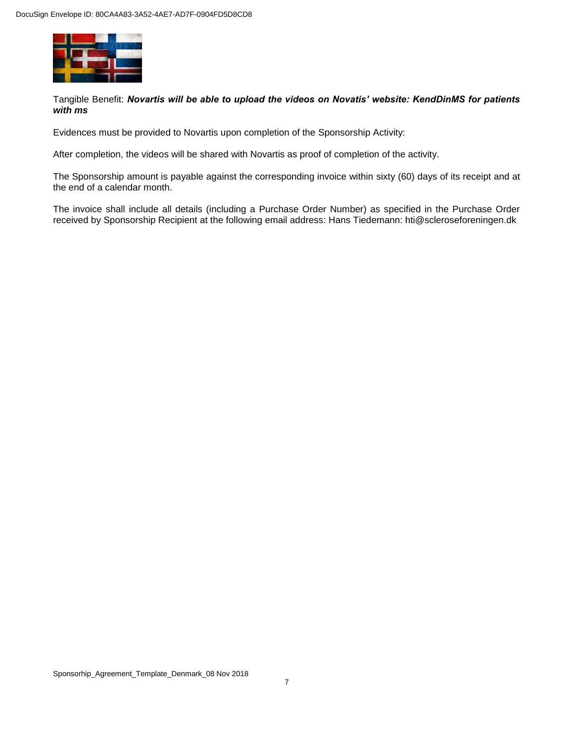

Tangible Benefit: *Novartis will be able to upload the videos on Novatis' website: KendDinMS for patients with ms*

Evidences must be provided to Novartis upon completion of the Sponsorship Activity:

After completion, the videos will be shared with Novartis as proof of completion of the activity.

The Sponsorship amount is payable against the corresponding invoice within sixty (60) days of its receipt and at the end of a calendar month.

The invoice shall include all details (including a Purchase Order Number) as specified in the Purchase Order received by Sponsorship Recipient at the following email address: Hans Tiedemann: hti@scleroseforeningen.dk